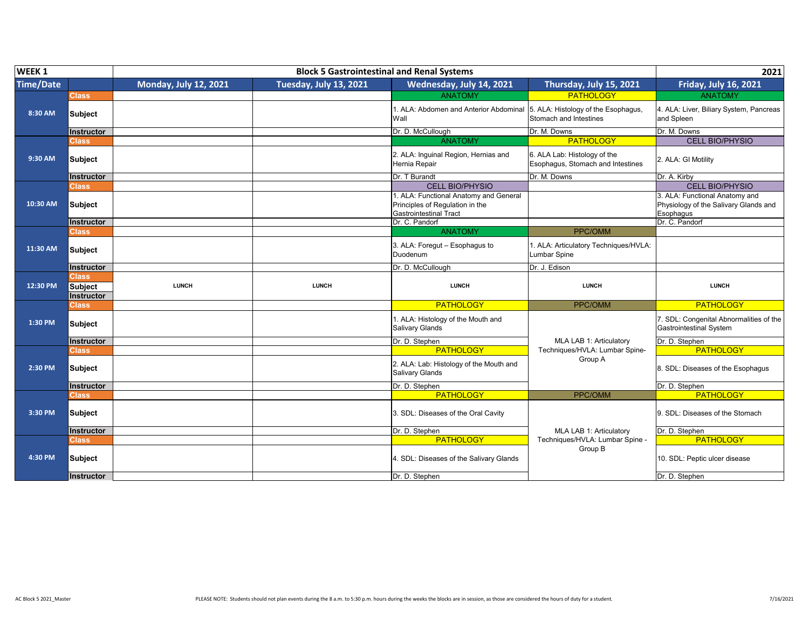| WEEK <sub>1</sub> |                                              |                              | <b>Block 5 Gastrointestinal and Renal Systems</b> |                                                                                                           |                                                                   | 2021                                                                                 |
|-------------------|----------------------------------------------|------------------------------|---------------------------------------------------|-----------------------------------------------------------------------------------------------------------|-------------------------------------------------------------------|--------------------------------------------------------------------------------------|
| <b>Time/Date</b>  |                                              | <b>Monday, July 12, 2021</b> | <b>Tuesday, July 13, 2021</b>                     | Wednesday, July 14, 2021                                                                                  | Thursday, July 15, 2021                                           | <b>Friday, July 16, 2021</b>                                                         |
|                   | <b>Class</b>                                 |                              |                                                   | <b>ANATOMY</b>                                                                                            | <b>PATHOLOGY</b>                                                  | <b>ANATOMY</b>                                                                       |
| 8:30 AM           | Subject                                      |                              |                                                   | . ALA: Abdomen and Anterior Abdominal<br>Wall                                                             | 5. ALA: Histology of the Esophagus,<br>Stomach and Intestines     | 4. ALA: Liver, Biliary System, Pancreas<br>and Spleen                                |
|                   | <b>Instructor</b>                            |                              |                                                   | Dr. D. McCullough                                                                                         | Dr. M. Downs                                                      | Dr. M. Downs                                                                         |
|                   | <b>Class</b>                                 |                              |                                                   | <b>ANATOMY</b>                                                                                            | <b>PATHOLOGY</b>                                                  | <b>CELL BIO/PHYSIO</b>                                                               |
| 9:30 AM           | Subject                                      |                              |                                                   | 2. ALA: Inguinal Region, Hernias and<br>Hernia Repair                                                     | 6. ALA Lab: Histology of the<br>Esophagus, Stomach and Intestines | 2. ALA: GI Motility                                                                  |
|                   | <b>Instructor</b>                            |                              |                                                   | Dr. T Burandt                                                                                             | Dr. M. Downs                                                      | Dr. A. Kirby                                                                         |
|                   | <b>Class</b>                                 |                              |                                                   | <b>CELL BIO/PHYSIO</b>                                                                                    |                                                                   | <b>CELL BIO/PHYSIO</b>                                                               |
| 10:30 AM          | <b>Subject</b>                               |                              |                                                   | . ALA: Functional Anatomy and General<br>Principles of Regulation in the<br><b>Gastrointestinal Tract</b> |                                                                   | 3. ALA: Functional Anatomy and<br>Physiology of the Salivary Glands and<br>Esophagus |
|                   | <b>Instructor</b>                            |                              |                                                   | Dr. C. Pandorf                                                                                            |                                                                   | Dr. C. Pandorf                                                                       |
|                   | <b>Class</b>                                 |                              |                                                   | <b>ANATOMY</b>                                                                                            | PPC/OMM                                                           |                                                                                      |
| 11:30 AM          | <b>Subject</b>                               |                              |                                                   | 3. ALA: Foregut - Esophagus to<br>Duodenum                                                                | 1. ALA: Articulatory Techniques/HVLA:<br>umbar Spine              |                                                                                      |
|                   | <b>Instructor</b>                            |                              |                                                   | Dr. D. McCullough                                                                                         | Dr. J. Edison                                                     |                                                                                      |
| 12:30 PM          | <b>Class</b><br><b>Subject</b><br>Instructor | <b>LUNCH</b>                 | <b>LUNCH</b>                                      | <b>LUNCH</b>                                                                                              | <b>LUNCH</b>                                                      | <b>LUNCH</b>                                                                         |
|                   |                                              |                              |                                                   | PATHOLOGY                                                                                                 | PPC/OMM                                                           | <b>PATHOLOGY</b>                                                                     |
|                   |                                              |                              |                                                   |                                                                                                           |                                                                   |                                                                                      |
| 1:30 PM           | Class,<br><b>Subject</b>                     |                              |                                                   | 1. ALA: Histology of the Mouth and<br>Salivary Glands                                                     |                                                                   | 7. SDL: Congenital Abnormalities of the<br><b>Gastrointestinal System</b>            |
|                   | <b>Instructor</b>                            |                              |                                                   | Dr. D. Stephen                                                                                            | MLA LAB 1: Articulatory                                           | Dr. D. Stephen                                                                       |
|                   | <b>Class</b>                                 |                              |                                                   | <b>PATHOLOGY</b>                                                                                          | Techniques/HVLA: Lumbar Spine-                                    | <b>PATHOLOGY</b>                                                                     |
| 2:30 PM           | <b>Subject</b>                               |                              |                                                   | 2. ALA: Lab: Histology of the Mouth and<br>Salivary Glands                                                | Group A                                                           | 8. SDL: Diseases of the Esophagus                                                    |
|                   | <b>Instructor</b>                            |                              |                                                   | Dr. D. Stephen                                                                                            |                                                                   | Dr. D. Stephen                                                                       |
|                   | <b>Class</b>                                 |                              |                                                   | <b>PATHOLOGY</b>                                                                                          | PPC/OMM                                                           | <b>PATHOLOGY</b>                                                                     |
| 3:30 PM           | <b>Subject</b>                               |                              |                                                   | 3. SDL: Diseases of the Oral Cavity                                                                       |                                                                   | 9. SDL: Diseases of the Stomach                                                      |
|                   | <b>Instructor</b>                            |                              |                                                   | Dr. D. Stephen                                                                                            | MLA LAB 1: Articulatory                                           | Dr. D. Stephen                                                                       |
|                   | <b>Class</b>                                 |                              |                                                   | <b>PATHOLOGY</b>                                                                                          | Techniques/HVLA: Lumbar Spine -                                   | <b>PATHOLOGY</b>                                                                     |
| 4:30 PM           | <b>Subject</b>                               |                              |                                                   | 4. SDL: Diseases of the Salivary Glands                                                                   | Group B                                                           | 10. SDL: Peptic ulcer disease                                                        |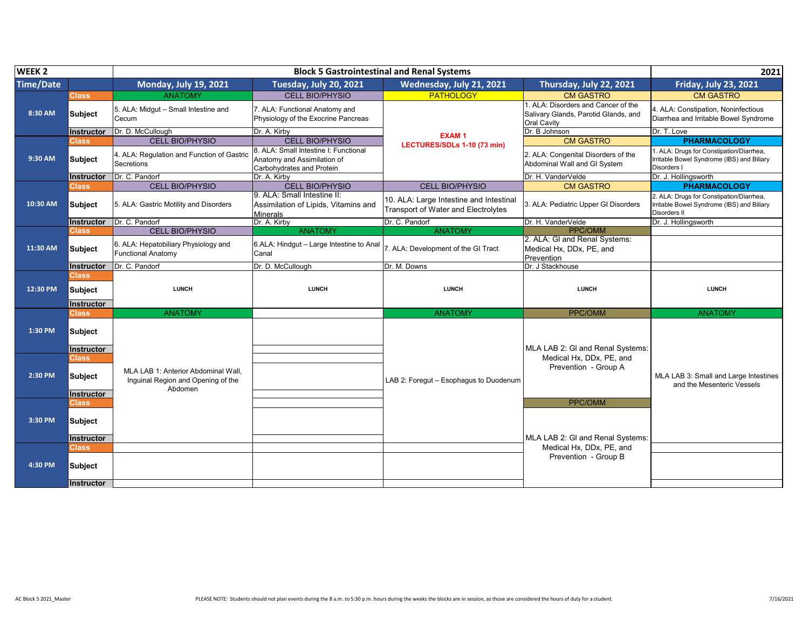| WEEK <sub>2</sub> | <b>Block 5 Gastrointestinal and Renal Systems</b> |                                                                                      |                                                                                                   |                                                                                |                                                                                                   | 2021                                                                                                   |
|-------------------|---------------------------------------------------|--------------------------------------------------------------------------------------|---------------------------------------------------------------------------------------------------|--------------------------------------------------------------------------------|---------------------------------------------------------------------------------------------------|--------------------------------------------------------------------------------------------------------|
| <b>Time/Date</b>  |                                                   | <b>Monday, July 19, 2021</b>                                                         | Tuesday, July 20, 2021                                                                            | Wednesday, July 21, 2021                                                       | Thursday, July 22, 2021                                                                           | Friday, July 23, 2021                                                                                  |
|                   | <b>Class</b>                                      | <b>ANATOMY</b>                                                                       | <b>CELL BIO/PHYSIO</b>                                                                            | <b>PATHOLOGY</b>                                                               | <b>CM GASTRO</b>                                                                                  | <b>CM GASTRO</b>                                                                                       |
| 8:30 AM           | <b>Subject</b>                                    | 5. ALA: Midgut - Small Intestine and<br>Cecum                                        | 7. ALA: Functional Anatomy and<br>Physiology of the Exocrine Pancreas                             |                                                                                | 1. ALA: Disorders and Cancer of the<br>Salivary Glands, Parotid Glands, and<br><b>Oral Cavity</b> | 4. ALA: Constipation, Noninfectious<br>Diarrhea and Irritable Bowel Syndrome                           |
|                   | Instructor                                        | Dr. D. McCullough                                                                    | Dr. A. Kirby                                                                                      | <b>EXAM1</b>                                                                   | Dr. B Johnson                                                                                     | Dr. T. Love                                                                                            |
|                   | Class                                             | <b>CELL BIO/PHYSIO</b>                                                               | <b>CELL BIO/PHYSIO</b>                                                                            | LECTURES/SDLs 1-10 (73 min)                                                    | <b>CM GASTRO</b>                                                                                  | <b>PHARMACOLOGY</b>                                                                                    |
| 9:30 AM           | <b>Subject</b>                                    | 4. ALA: Regulation and Function of Gastric<br>Secretions                             | 8. ALA: Small Intestine I: Functional<br>Anatomy and Assimilation of<br>Carbohydrates and Protein |                                                                                | 2. ALA: Congenital Disorders of the<br>Abdominal Wall and GI System                               | 1. ALA: Drugs for Constipation/Diarrhea,<br>Irritable Bowel Syndrome (IBS) and Biliary<br>Disorders I  |
|                   | Instructor                                        | Dr. C. Pandorf                                                                       | Dr. A. Kirby                                                                                      |                                                                                | Dr. H. VanderVelde                                                                                | Dr. J. Hollingsworth                                                                                   |
|                   | Class                                             | <b>CELL BIO/PHYSIO</b>                                                               | <b>CELL BIO/PHYSIO</b>                                                                            | <b>CELL BIO/PHYSIO</b>                                                         | <b>CM GASTRO</b>                                                                                  | <b>PHARMACOLOGY</b>                                                                                    |
| 10:30 AM          | <b>Subject</b>                                    | 5. ALA: Gastric Motility and Disorders                                               | 9. ALA: Small Intestine II:<br>Assimilation of Lipids, Vitamins and<br><b>Minerals</b>            | 10. ALA: Large Intestine and Intestinal<br>Transport of Water and Electrolytes | 3. ALA: Pediatric Upper GI Disorders                                                              | 2. ALA: Drugs for Constipation/Diarrhea,<br>Irritable Bowel Syndrome (IBS) and Biliary<br>Disorders II |
|                   | <b>Instructor</b>                                 | Dr. C. Pandorf                                                                       | Dr. A. Kirby                                                                                      | Dr. C. Pandorf                                                                 | Dr. H. VanderVelde                                                                                | Dr. J. Hollingsworth                                                                                   |
|                   | <b>Class</b>                                      | <b>CELL BIO/PHYSIO</b>                                                               | <b>ANATOMY</b>                                                                                    | <b>ANATOMY</b>                                                                 | <b>PPC/OMM</b>                                                                                    |                                                                                                        |
| 11:30 AM          | <b>Subject</b>                                    | 6. ALA: Hepatobiliary Physiology and<br><b>Functional Anatomy</b>                    | 6.ALA: Hindqut - Large Intestine to Anal<br>Canal                                                 | 7. ALA: Development of the GI Tract                                            | 2. ALA: GI and Renal Systems:<br>Medical Hx. DDx. PE. and<br>Prevention                           |                                                                                                        |
|                   | Instructor                                        | Dr. C. Pandorf                                                                       | Dr. D. McCullough                                                                                 | Dr. M. Downs                                                                   | Dr. J Stackhouse                                                                                  |                                                                                                        |
|                   | Class                                             |                                                                                      |                                                                                                   |                                                                                |                                                                                                   |                                                                                                        |
|                   |                                                   |                                                                                      |                                                                                                   |                                                                                |                                                                                                   |                                                                                                        |
| 12:30 PM          | <b>Subject</b>                                    | <b>LUNCH</b>                                                                         | <b>LUNCH</b>                                                                                      | <b>LUNCH</b>                                                                   | <b>LUNCH</b>                                                                                      | <b>LUNCH</b>                                                                                           |
|                   | <b>Instructor</b>                                 |                                                                                      |                                                                                                   |                                                                                |                                                                                                   |                                                                                                        |
|                   | <b>Class</b>                                      | <b>ANATOMY</b>                                                                       |                                                                                                   | <b>ANATOMY</b>                                                                 | PPC/OMM                                                                                           | <b>ANATOMY</b>                                                                                         |
| 1:30 PM           | <b>Subject</b>                                    |                                                                                      |                                                                                                   |                                                                                |                                                                                                   |                                                                                                        |
|                   | Instructor                                        |                                                                                      |                                                                                                   |                                                                                | MLA LAB 2: GI and Renal Systems:                                                                  |                                                                                                        |
| 2:30 PM           | <b>Class</b><br><b>Subject</b>                    | MLA LAB 1: Anterior Abdominal Wall.<br>Inguinal Region and Opening of the<br>Abdomen |                                                                                                   | LAB 2: Foregut - Esophagus to Duodenum                                         | Medical Hx, DDx, PE, and<br>Prevention - Group A                                                  | MLA LAB 3: Small and Large Intestines<br>and the Mesenteric Vessels                                    |
|                   | <b>Instructor</b>                                 |                                                                                      |                                                                                                   |                                                                                |                                                                                                   |                                                                                                        |
|                   | Class                                             |                                                                                      |                                                                                                   |                                                                                | PPC/OMM                                                                                           |                                                                                                        |
| 3:30 PM           | <b>Subject</b>                                    |                                                                                      |                                                                                                   |                                                                                |                                                                                                   |                                                                                                        |
|                   | <b>Instructor</b>                                 |                                                                                      |                                                                                                   |                                                                                | MLA LAB 2: GI and Renal Systems:                                                                  |                                                                                                        |
|                   | Class                                             |                                                                                      |                                                                                                   |                                                                                | Medical Hx. DDx. PE. and                                                                          |                                                                                                        |
| 4:30 PM           | Subject<br><b>Instructor</b>                      |                                                                                      |                                                                                                   |                                                                                | Prevention - Group B                                                                              |                                                                                                        |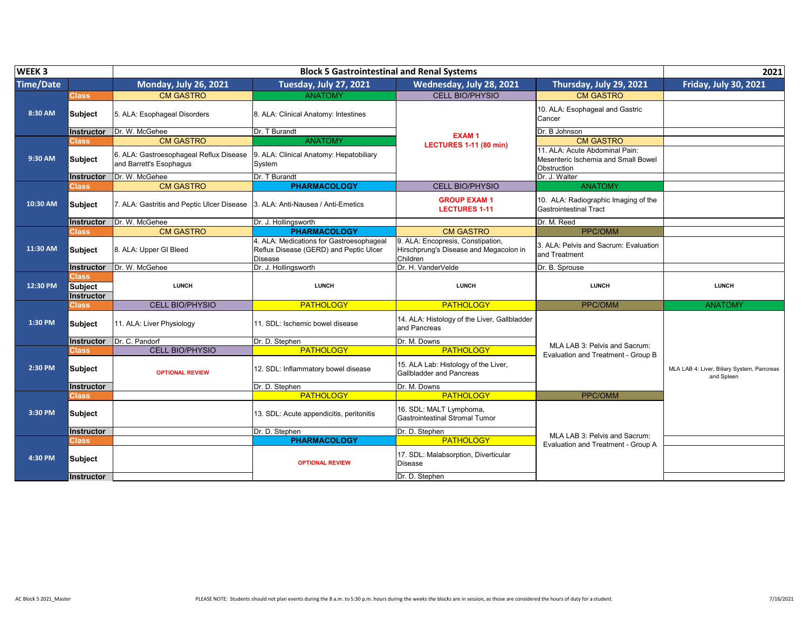| WEEK <sub>3</sub> |                                        |                                                                    | <b>Block 5 Gastrointestinal and Renal Systems</b>                                                    |                                                                                         |                                                                                      |                                                          |  |
|-------------------|----------------------------------------|--------------------------------------------------------------------|------------------------------------------------------------------------------------------------------|-----------------------------------------------------------------------------------------|--------------------------------------------------------------------------------------|----------------------------------------------------------|--|
| <b>Time/Date</b>  |                                        | <b>Monday, July 26, 2021</b>                                       | <b>Tuesday, July 27, 2021</b>                                                                        | Wednesday, July 28, 2021                                                                | Thursday, July 29, 2021                                                              | <b>Friday, July 30, 2021</b>                             |  |
|                   | Class                                  | <b>CM GASTRO</b>                                                   | <b>ANATOMY</b>                                                                                       | <b>CELL BIO/PHYSIO</b>                                                                  | <b>CM GASTRO</b>                                                                     |                                                          |  |
| 8:30 AM           | <b>Subject</b>                         | 5. ALA: Esophageal Disorders                                       | 8. ALA: Clinical Anatomy: Intestines                                                                 |                                                                                         | 10. ALA: Esophageal and Gastric<br>Cancer                                            |                                                          |  |
|                   | <b>Instructor</b>                      | Dr. W. McGehee                                                     | Dr. T Burandt                                                                                        | <b>EXAM1</b>                                                                            | Dr. B Johnson                                                                        |                                                          |  |
|                   | Class                                  | <b>CM GASTRO</b>                                                   | <b>ANATOMY</b>                                                                                       | <b>LECTURES 1-11 (80 min)</b>                                                           | <b>CM GASTRO</b>                                                                     |                                                          |  |
| 9:30 AM           | <b>Subject</b>                         | 6. ALA: Gastroesophageal Reflux Disease<br>and Barrett's Esophagus | 9. ALA: Clinical Anatomy: Hepatobiliary<br>System                                                    |                                                                                         | 11. ALA: Acute Abdominal Pain:<br>Mesenteric Ischemia and Small Bowel<br>Obstruction |                                                          |  |
|                   | Instructor                             | Dr. W. McGehee                                                     | Dr. T Burandt                                                                                        |                                                                                         | Dr. J. Walter                                                                        |                                                          |  |
|                   | <u>Class</u>                           | <b>CM GASTRO</b>                                                   | <b>PHARMACOLOGY</b>                                                                                  | <b>CELL BIO/PHYSIO</b>                                                                  | <b>ANATOMY</b>                                                                       |                                                          |  |
| 10:30 AM          | <b>Subject</b>                         | 7. ALA: Gastritis and Peptic Ulcer Disease                         | 3. ALA: Anti-Nausea / Anti-Emetics                                                                   | <b>GROUP EXAM1</b><br><b>LECTURES 1-11</b>                                              | 10. ALA: Radiographic Imaging of the<br>Gastrointestinal Tract                       |                                                          |  |
|                   | Instructor                             | Dr. W. McGehee                                                     | Dr. J. Hollingsworth                                                                                 |                                                                                         | Dr. M. Reed                                                                          |                                                          |  |
|                   | Class                                  | <b>CM GASTRO</b>                                                   | <b>PHARMACOLOGY</b>                                                                                  | <b>CM GASTRO</b>                                                                        | PPC/OMM                                                                              |                                                          |  |
| 11:30 AM          | <b>Subject</b>                         | 8. ALA: Upper GI Bleed                                             | 4. ALA: Medications for Gastroesophageal<br>Reflux Disease (GERD) and Peptic Ulcer<br><b>Disease</b> | 9. ALA: Encopresis, Constipation,<br>Hirschprung's Disease and Megacolon in<br>Children | 3. ALA: Pelvis and Sacrum: Evaluation<br>and Treatment                               |                                                          |  |
|                   | Instructor                             | Dr. W. McGehee                                                     | Dr. J. Hollingsworth                                                                                 | Dr. H. VanderVelde                                                                      | Dr. B. Sprouse                                                                       |                                                          |  |
| 12:30 PM          | Class,<br><b>Subject</b><br>Instructor | <b>LUNCH</b>                                                       | <b>LUNCH</b>                                                                                         | <b>LUNCH</b>                                                                            | <b>LUNCH</b>                                                                         | <b>LUNCH</b>                                             |  |
|                   | Class                                  | <b>CELL BIO/PHYSIO</b>                                             | <b>PATHOLOGY</b>                                                                                     | <b>PATHOLOGY</b>                                                                        | PPC/OMM                                                                              | <b>ANATOMY</b>                                           |  |
| 1:30 PM           | <b>Subject</b>                         | 11. ALA: Liver Physiology                                          | 11. SDL: Ischemic bowel disease                                                                      | 14. ALA: Histology of the Liver, Gallbladder<br>and Pancreas                            |                                                                                      |                                                          |  |
|                   |                                        | Instructor Dr. C. Pandorf                                          | Dr. D. Stephen                                                                                       | Dr. M. Downs                                                                            | MLA LAB 3: Pelvis and Sacrum:                                                        |                                                          |  |
|                   | <b>Class</b>                           | <b>CELL BIO/PHYSIO</b>                                             | <b>PATHOLOGY</b>                                                                                     | <b>PATHOLOGY</b>                                                                        | Evaluation and Treatment - Group B                                                   |                                                          |  |
| $2:30$ PM         | <b>Subject</b>                         | <b>OPTIONAL REVIEW</b>                                             | 12. SDL: Inflammatory bowel disease                                                                  | 15. ALA Lab: Histology of the Liver,<br>Gallbladder and Pancreas                        |                                                                                      | MLA LAB 4: Liver, Biliary System, Pancreas<br>and Spleen |  |
|                   | <b>Instructor</b>                      |                                                                    | Dr. D. Stephen                                                                                       | Dr. M. Downs                                                                            |                                                                                      |                                                          |  |
|                   | <b>Class</b>                           |                                                                    | <b>PATHOLOGY</b>                                                                                     | <b>PATHOLOGY</b>                                                                        | PPC/OMM                                                                              |                                                          |  |
| 3:30 PM           | <b>Subject</b>                         |                                                                    | 13. SDL: Acute appendicitis, peritonitis                                                             | 16. SDL: MALT Lymphoma,<br><b>Gastrointestinal Stromal Tumor</b>                        |                                                                                      |                                                          |  |
|                   | <b>Instructor</b>                      |                                                                    | Dr. D. Stephen                                                                                       | Dr. D. Stephen                                                                          | MLA LAB 3: Pelvis and Sacrum:                                                        |                                                          |  |
|                   | <b>Class</b>                           |                                                                    | <b>PHARMACOLOGY</b>                                                                                  | <b>PATHOLOGY</b>                                                                        | Evaluation and Treatment - Group A                                                   |                                                          |  |
| 4:30 PM           | <b>Subject</b>                         |                                                                    | <b>OPTIONAL REVIEW</b>                                                                               | 17. SDL: Malabsorption, Diverticular<br><b>Disease</b>                                  |                                                                                      |                                                          |  |
|                   | Instructor                             |                                                                    |                                                                                                      | Dr. D. Stephen                                                                          |                                                                                      |                                                          |  |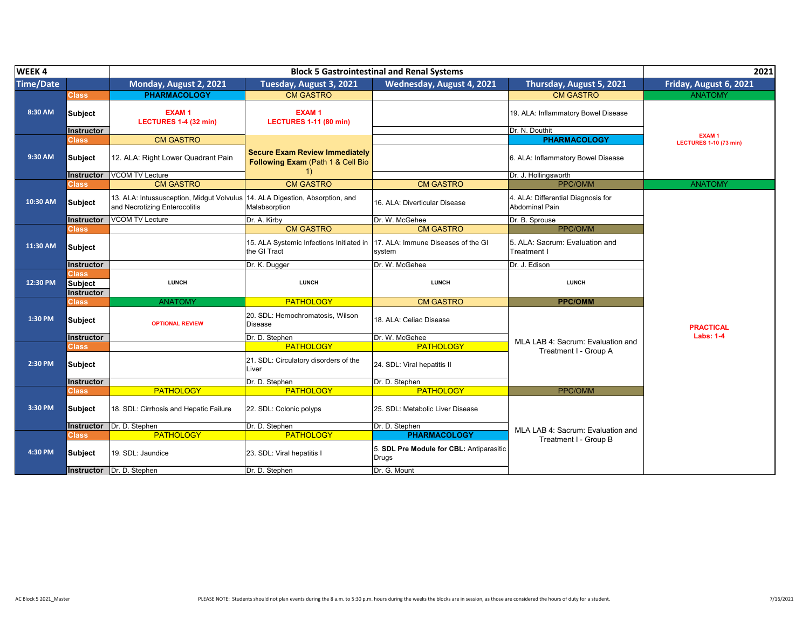| WEEK4            |                                              |                                                                            | 2021                                                                       |                                                          |                                                       |                               |
|------------------|----------------------------------------------|----------------------------------------------------------------------------|----------------------------------------------------------------------------|----------------------------------------------------------|-------------------------------------------------------|-------------------------------|
| <b>Time/Date</b> |                                              | Monday, August 2, 2021                                                     | Tuesday, August 3, 2021                                                    | Wednesday, August 4, 2021                                | Thursday, August 5, 2021                              | Friday, August 6, 2021        |
|                  | <b>Class</b>                                 | <b>PHARMACOLOGY</b>                                                        | <b>CM GASTRO</b>                                                           |                                                          | <b>CM GASTRO</b>                                      | <b>ANATOMY</b>                |
| 8:30 AM          | Subject<br><b>Instructor</b>                 | <b>EXAM1</b><br>LECTURES 1-4 (32 min)                                      | <b>EXAM1</b><br><b>LECTURES 1-11 (80 min)</b>                              |                                                          | 19. ALA: Inflammatory Bowel Disease<br>Dr. N. Douthit |                               |
|                  | Class⊺                                       | <b>CM GASTRO</b>                                                           |                                                                            |                                                          | <b>PHARMACOLOGY</b>                                   | EXAM <sub>1</sub>             |
| 9:30 AM          | <b>Subject</b>                               | 12. ALA: Right Lower Quadrant Pain                                         | <b>Secure Exam Review Immediately</b><br>Following Exam (Path 1 & Cell Bio |                                                          | 6. ALA: Inflammatory Bowel Disease                    | <b>LECTURES 1-10 (73 min)</b> |
|                  | Instructor                                   | <b>VCOM TV Lecture</b>                                                     | <sup>1</sup>                                                               |                                                          | Dr. J. Hollingsworth                                  |                               |
|                  | Class                                        | <b>CM GASTRO</b>                                                           | <b>CM GASTRO</b>                                                           | <b>CM GASTRO</b>                                         | PPC/OMM                                               | <b>ANATOMY</b>                |
| 10:30 AM         | <b>Subject</b>                               | 13. ALA: Intussusception, Midgut Volvulus<br>and Necrotizing Enterocolitis | 14. ALA Digestion, Absorption, and<br>Malabsorption                        | 16. ALA: Diverticular Disease                            | 4. ALA: Differential Diagnosis for<br>Abdominal Pain  |                               |
|                  | Instructor                                   | <b>VCOM TV Lecture</b>                                                     | Dr. A. Kirby                                                               | Dr. W. McGehee                                           | Dr. B. Sprouse                                        |                               |
|                  | Class                                        |                                                                            | <b>CM GASTRO</b>                                                           | <b>CM GASTRO</b>                                         | PPC/OMM                                               |                               |
| 11:30 AM         | <b>Subject</b>                               |                                                                            | 15. ALA Systemic Infections Initiated in<br>the GI Tract                   | 17. ALA: Immune Diseases of the GI<br>system             | 5. ALA: Sacrum: Evaluation and<br>Treatment I         |                               |
|                  | <b>Instructor</b>                            |                                                                            | Dr. K. Dugger                                                              | Dr. W. McGehee                                           | Dr. J. Edison                                         |                               |
| 12:30 PM         | <b>Class</b><br><b>Subject</b><br>Instructor | <b>LUNCH</b>                                                               | <b>LUNCH</b>                                                               | <b>LUNCH</b>                                             | <b>LUNCH</b>                                          |                               |
|                  | Class                                        | <b>ANATOMY</b>                                                             | <b>PATHOLOGY</b>                                                           | <b>CM GASTRO</b>                                         | <b>PPC/OMM</b>                                        |                               |
| 1:30 PM          | <b>Subject</b>                               | <b>OPTIONAL REVIEW</b>                                                     | 20. SDL: Hemochromatosis, Wilson<br><b>Disease</b>                         | 18. ALA: Celiac Disease                                  |                                                       | <b>PRACTICAL</b>              |
|                  | <b>Instructor</b>                            |                                                                            | Dr. D. Stephen                                                             | Dr. W. McGehee                                           | MLA LAB 4: Sacrum: Evaluation and                     | <b>Labs: 1-4</b>              |
|                  | Class                                        |                                                                            | <b>PATHOLOGY</b>                                                           | <b>PATHOLOGY</b>                                         | Treatment I - Group A                                 |                               |
| 2:30 PM          | <b>Subject</b>                               |                                                                            | 21. SDL: Circulatory disorders of the<br>Liver                             | 24. SDL: Viral hepatitis II                              |                                                       |                               |
|                  | <b>Instructor</b>                            |                                                                            | Dr. D. Stephen                                                             | Dr. D. Stephen                                           |                                                       |                               |
|                  | Class                                        | <b>PATHOLOGY</b>                                                           | <b>PATHOLOGY</b>                                                           | <b>PATHOLOGY</b>                                         | PPC/OMM                                               |                               |
| 3:30 PM          | <b>Subject</b>                               | 18. SDL: Cirrhosis and Hepatic Failure                                     | 22. SDL: Colonic polyps                                                    | 25. SDL: Metabolic Liver Disease                         |                                                       |                               |
|                  | <b>Instructor</b>                            | Dr. D. Stephen                                                             | Dr. D. Stephen                                                             | Dr. D. Stephen                                           | MLA LAB 4: Sacrum: Evaluation and                     |                               |
|                  | Class                                        | <b>PATHOLOGY</b>                                                           | <b>PATHOLOGY</b>                                                           | <b>PHARMACOLOGY</b>                                      | Treatment I - Group B                                 |                               |
| 4:30 PM          | <b>Subject</b>                               | 19. SDL: Jaundice                                                          | 23. SDL: Viral hepatitis I                                                 | 5. SDL Pre Module for CBL: Antiparasitic<br><b>Drugs</b> |                                                       |                               |
|                  | Instructor                                   | Dr. D. Stephen                                                             | Dr. D. Stephen                                                             | Dr. G. Mount                                             |                                                       |                               |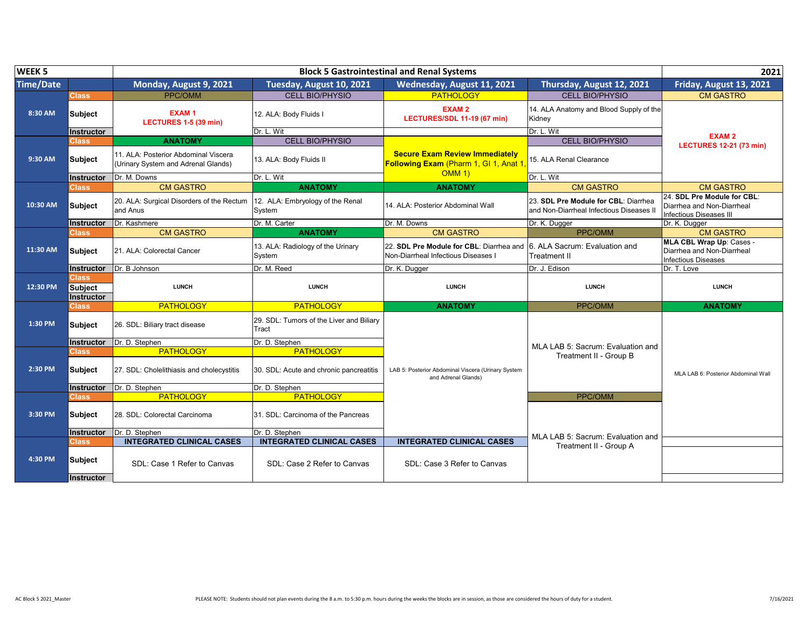| WEEK <sub>5</sub> |                                       |                                                                             |                                                   | <b>Block 5 Gastrointestinal and Renal Systems</b>                               |                                                                                  | 2021                                                                                        |
|-------------------|---------------------------------------|-----------------------------------------------------------------------------|---------------------------------------------------|---------------------------------------------------------------------------------|----------------------------------------------------------------------------------|---------------------------------------------------------------------------------------------|
| <b>Time/Date</b>  |                                       | Monday, August 9, 2021                                                      | Tuesday, August 10, 2021                          | Wednesday, August 11, 2021                                                      | Thursday, August 12, 2021                                                        | Friday, August 13, 2021                                                                     |
|                   | Class                                 | <b>PPC/OMM</b>                                                              | <b>CELL BIO/PHYSIO</b>                            | <b>PATHOLOGY</b>                                                                | <b>CELL BIO/PHYSIO</b>                                                           | <b>CM GASTRO</b>                                                                            |
| 8:30 AM           | <b>Subject</b>                        | <b>EXAM1</b><br>LECTURES 1-5 (39 min)                                       | 12. ALA: Body Fluids I                            | EXAM <sub>2</sub><br>LECTURES/SDL 11-19 (67 min)                                | 14. ALA Anatomy and Blood Supply of the<br>Kidney                                |                                                                                             |
|                   | Instructor                            |                                                                             | Dr. L. Wit                                        |                                                                                 | Dr. L. Wit                                                                       | <b>EXAM2</b>                                                                                |
|                   | <b>Class</b>                          | <b>ANATOMY</b>                                                              | <b>CELL BIO/PHYSIO</b>                            |                                                                                 | <b>CELL BIO/PHYSIO</b>                                                           | <b>LECTURES 12-21 (73 min)</b>                                                              |
| 9:30 AM           | <b>Subject</b>                        | 11. ALA: Posterior Abdominal Viscera<br>(Urinary System and Adrenal Glands) | 13. ALA: Body Fluids II                           | <b>Secure Exam Review Immediately</b><br>Following Exam (Pharm 1, GI 1, Anat 1  | 15. ALA Renal Clearance                                                          |                                                                                             |
|                   | <b>Instructor</b>                     | Dr. M. Downs                                                                | Dr. L. Wit                                        | <b>OMM 1)</b>                                                                   | Dr. L. Wit                                                                       |                                                                                             |
|                   | Class                                 | <b>CM GASTRO</b>                                                            | <b>ANATOMY</b>                                    | <b>ANATOMY</b>                                                                  | <b>CM GASTRO</b>                                                                 | <b>CM GASTRO</b>                                                                            |
| 10:30 AM          | <b>Subject</b>                        | 20. ALA: Surgical Disorders of the Rectum<br>and Anus                       | 12. ALA: Embryology of the Renal<br>System        | 14. ALA: Posterior Abdominal Wall                                               | 23. SDL Pre Module for CBL: Diarrhea<br>and Non-Diarrheal Infectious Diseases II | 24. SDL Pre Module for CBL:<br>Diarrhea and Non-Diarrheal<br><b>Infectious Diseases III</b> |
|                   | Instructor                            | Dr. Kashmere                                                                | Dr. M. Carter                                     | Dr. M. Downs                                                                    | Dr. K. Dugger                                                                    | Dr. K. Dugger                                                                               |
|                   | <b>Class</b>                          | <b>CM GASTRO</b>                                                            | <b>ANATOMY</b>                                    | <b>CM GASTRO</b>                                                                | PPC/OMM                                                                          | <b>CM GASTRO</b>                                                                            |
| 11:30 AM          | <b>Subject</b>                        | 21. ALA: Colorectal Cancer                                                  | 13. ALA: Radiology of the Urinary<br>System       | 22. SDL Pre Module for CBL: Diarrhea and<br>Non-Diarrheal Infectious Diseases I | 6. ALA Sacrum: Evaluation and<br>Treatment II                                    | MLA CBL Wrap Up: Cases -<br>Diarrhea and Non-Diarrheal<br><b>Infectious Diseases</b>        |
|                   | Instructor                            | Dr. B Johnson                                                               | Dr. M. Reed                                       | Dr. K. Dugger                                                                   | Dr. J. Edison                                                                    | Dr. T. Love                                                                                 |
| 12:30 PM          | Class<br><b>Subject</b><br>Instructor | <b>LUNCH</b>                                                                | <b>LUNCH</b>                                      | <b>LUNCH</b>                                                                    | <b>LUNCH</b>                                                                     | <b>LUNCH</b>                                                                                |
|                   | <b>Class</b>                          | <b>PATHOLOGY</b>                                                            | <b>PATHOLOGY</b>                                  | <b>ANATOMY</b>                                                                  | PPC/OMM                                                                          | <b>ANATOMY</b>                                                                              |
| 1:30 PM           | <b>Subject</b>                        | 26. SDL: Biliary tract disease                                              | 29. SDL: Tumors of the Liver and Biliary<br>Tract |                                                                                 |                                                                                  |                                                                                             |
|                   | <b>Instructor</b>                     | Dr. D. Stephen                                                              | Dr. D. Stephen                                    |                                                                                 | MLA LAB 5: Sacrum: Evaluation and                                                |                                                                                             |
|                   | Class                                 | <b>PATHOLOGY</b>                                                            | <b>PATHOLOGY</b>                                  |                                                                                 | Treatment II - Group B                                                           |                                                                                             |
| 2:30 PM           | <b>Subject</b>                        | 27. SDL: Cholelithiasis and cholecystitis                                   | 30. SDL: Acute and chronic pancreatitis           | LAB 5: Posterior Abdominal Viscera (Urinary System<br>and Adrenal Glands)       |                                                                                  | MLA LAB 6: Posterior Abdominal Wall                                                         |
|                   | Instructor                            | Dr. D. Stephen                                                              | Dr. D. Stephen                                    |                                                                                 |                                                                                  |                                                                                             |
|                   | Class                                 | <b>PATHOLOGY</b>                                                            | <b>PATHOLOGY</b>                                  |                                                                                 | PPC/OMM                                                                          |                                                                                             |
| 3:30 PM           | <b>Subject</b>                        | 28. SDL: Colorectal Carcinoma                                               | 31. SDL: Carcinoma of the Pancreas                |                                                                                 |                                                                                  |                                                                                             |
|                   | Instructor                            | Dr. D. Stephen                                                              | Dr. D. Stephen                                    |                                                                                 | MLA LAB 5: Sacrum: Evaluation and                                                |                                                                                             |
|                   | <b>Class</b>                          | <b>INTEGRATED CLINICAL CASES</b>                                            | <b>INTEGRATED CLINICAL CASES</b>                  | <b>INTEGRATED CLINICAL CASES</b>                                                |                                                                                  |                                                                                             |
| 4:30 PM           | <b>Subject</b><br><b>Instructor</b>   | SDL: Case 1 Refer to Canvas                                                 | SDL: Case 2 Refer to Canvas                       | SDL: Case 3 Refer to Canvas                                                     | Treatment II - Group A                                                           |                                                                                             |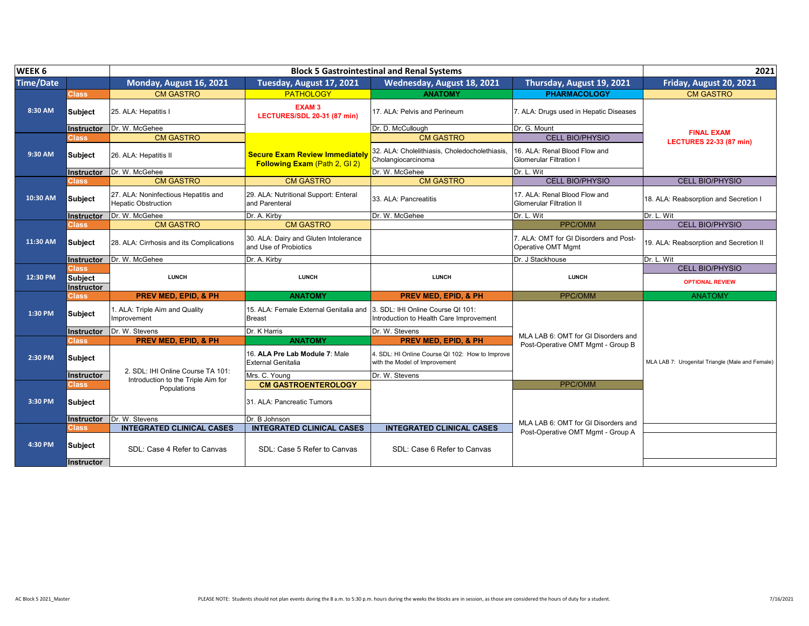| WEEK <sub>6</sub> |                              |                                                                    |                                                                        | <b>Block 5 Gastrointestinal and Renal Systems</b>                                |                                                                 | 2021                                             |
|-------------------|------------------------------|--------------------------------------------------------------------|------------------------------------------------------------------------|----------------------------------------------------------------------------------|-----------------------------------------------------------------|--------------------------------------------------|
| <b>Time/Date</b>  |                              | Monday, August 16, 2021                                            | Tuesday, August 17, 2021                                               | Wednesday, August 18, 2021                                                       | Thursday, August 19, 2021                                       | Friday, August 20, 2021                          |
|                   | <b>Class</b>                 | <b>CM GASTRO</b>                                                   | <b>PATHOLOGY</b>                                                       | <b>ANATOMY</b>                                                                   | <b>PHARMACOLOGY</b>                                             | <b>CM GASTRO</b>                                 |
| 8:30 AM           | Subject                      | 25. ALA: Hepatitis I                                               | EXAM <sub>3</sub><br>LECTURES/SDL 20-31 (87 min)                       | 17. ALA: Pelvis and Perineum                                                     | 7. ALA: Drugs used in Hepatic Diseases                          |                                                  |
|                   | Instructor                   | Dr. W. McGehee                                                     |                                                                        | Dr. D. McCullough                                                                | Dr. G. Mount                                                    | <b>FINAL EXAM</b>                                |
|                   | Class                        | <b>CM GASTRO</b>                                                   |                                                                        | <b>CM GASTRO</b>                                                                 | <b>CELL BIO/PHYSIO</b>                                          | <b>LECTURES 22-33 (87 min)</b>                   |
| 9:30 AM           | Subject                      | 26. ALA: Hepatitis II                                              | <b>Secure Exam Review Immediately</b><br>Following Exam (Path 2, GI 2) | 32. ALA: Cholelithiasis, Choledocholethiasis.<br>Cholangiocarcinoma              | 16. ALA: Renal Blood Flow and<br><b>Glomerular Filtration I</b> |                                                  |
|                   | Instructor                   | Dr. W. McGehee                                                     |                                                                        | Dr. W. McGehee                                                                   | Dr. L. Wit                                                      |                                                  |
|                   | Class                        | <b>CM GASTRO</b>                                                   | <b>CM GASTRO</b>                                                       | <b>CM GASTRO</b>                                                                 | <b>CELL BIO/PHYSIO</b>                                          | <b>CELL BIO/PHYSIO</b>                           |
| 10:30 AM          | Subject                      | 27. ALA: Noninfectious Hepatitis and<br><b>Hepatic Obstruction</b> | 29. ALA: Nutritional Support: Enteral<br>and Parenteral                | 33. ALA: Pancreatitis                                                            | 17. ALA: Renal Blood Flow and<br>Glomerular Filtration II       | 18. ALA: Reabsorption and Secretion I            |
|                   | Instructor                   | Dr. W. McGehee                                                     | Dr. A. Kirby                                                           | Dr. W. McGehee                                                                   | Dr. L. Wit                                                      | Dr. L. Wit                                       |
|                   | Class,                       | <b>CM GASTRO</b>                                                   | <b>CM GASTRO</b>                                                       |                                                                                  | PPC/OMM                                                         | <b>CELL BIO/PHYSIO</b>                           |
| 11:30 AM          | Subject                      | 28. ALA: Cirrhosis and its Complications                           | 30. ALA: Dairy and Gluten Intolerance<br>and Use of Probiotics         |                                                                                  | 7. ALA: OMT for GI Disorders and Post-<br>Operative OMT Mgmt    | 19. ALA: Reabsorption and Secretion II           |
|                   | Instructor                   | Dr. W. McGehee                                                     | Dr. A. Kirby                                                           |                                                                                  | Dr. J Stackhouse                                                | Dr. L. Wit                                       |
|                   | <b>Class</b>                 |                                                                    |                                                                        |                                                                                  |                                                                 | <b>CELL BIO/PHYSIO</b>                           |
| 12:30 PM          | <b>Subject</b><br>Instructor | <b>LUNCH</b>                                                       | <b>LUNCH</b>                                                           | <b>LUNCH</b>                                                                     | <b>LUNCH</b>                                                    | <b>OPTIONAL REVIEW</b>                           |
|                   | <b>Class</b>                 | <b>PREV MED, EPID, &amp; PH</b>                                    | <b>ANATOMY</b>                                                         | <b>PREV MED. EPID. &amp; PH</b>                                                  | PPC/OMM                                                         | <b>ANATOMY</b>                                   |
| 1:30 PM           | <b>Subject</b>               | 1. ALA: Triple Aim and Quality<br>Improvement                      | 15. ALA: Female External Genitalia and<br><b>Breast</b>                | 3. SDL: IHI Online Course QI 101:<br>Introduction to Health Care Improvement     |                                                                 |                                                  |
|                   | <b>Instructor</b>            | Dr. W. Stevens                                                     | Dr. K Harris                                                           | Dr. W. Stevens                                                                   | MLA LAB 6: OMT for GI Disorders and                             |                                                  |
|                   | <b>Class</b>                 | <b>PREV MED, EPID, &amp; PH</b>                                    | <b>ANATOMY</b>                                                         | <b>PREV MED, EPID, &amp; PH</b>                                                  | Post-Operative OMT Mgmt - Group B                               |                                                  |
| 2:30 PM           | <b>Subject</b>               | 2. SDL: IHI Online Course TA 101:                                  | 16. ALA Pre Lab Module 7: Male<br><b>External Genitalia</b>            | 4. SDL: HI Online Course QI 102: How to Improve<br>with the Model of Improvement |                                                                 | MLA LAB 7: Urogenital Triangle (Male and Female) |
|                   | Instructor                   | Introduction to the Triple Aim for                                 | Mrs. C. Young                                                          | Dr. W. Stevens                                                                   |                                                                 |                                                  |
|                   | Class                        | Populations                                                        | <b>CM GASTROENTEROLOGY</b>                                             |                                                                                  | PPC/OMM                                                         |                                                  |
| 3:30 PM           | Subject                      |                                                                    | 31. ALA: Pancreatic Tumors                                             |                                                                                  |                                                                 |                                                  |
|                   | Instructor                   | Dr. W. Stevens                                                     | Dr. B Johnson                                                          |                                                                                  | MLA LAB 6: OMT for GI Disorders and                             |                                                  |
|                   | <b>Class</b>                 | <b>INTEGRATED CLINICAL CASES</b>                                   | <b>INTEGRATED CLINICAL CASES</b>                                       | <b>INTEGRATED CLINICAL CASES</b>                                                 | Post-Operative OMT Mgmt - Group A                               |                                                  |
| 4:30 PM           | Subject<br><b>Instructor</b> | SDL: Case 4 Refer to Canvas                                        | SDL: Case 5 Refer to Canvas                                            | SDL: Case 6 Refer to Canvas                                                      |                                                                 |                                                  |
|                   |                              |                                                                    |                                                                        |                                                                                  |                                                                 |                                                  |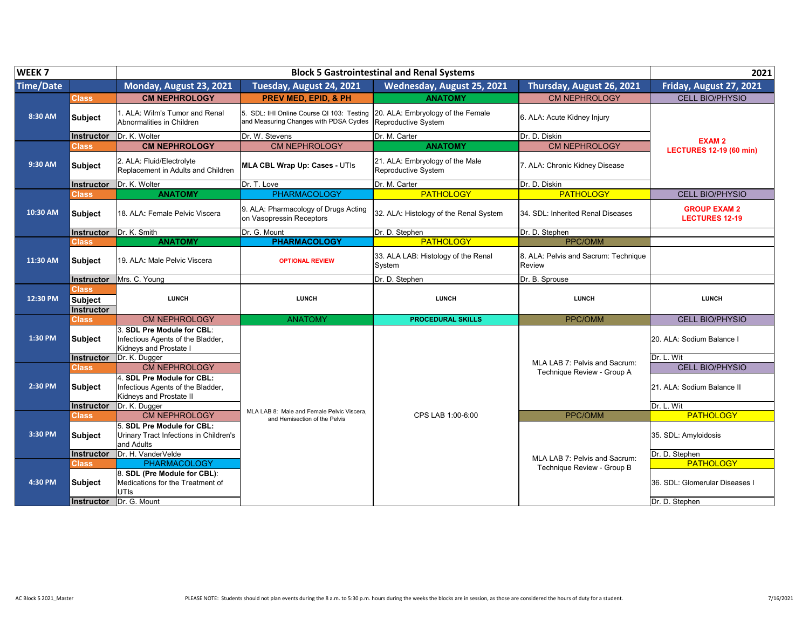| WEEK <sub>7</sub> |                                                     |                                                                                                             |                                                                                     | <b>Block 5 Gastrointestinal and Renal Systems</b>        |                                                | 2021                                         |
|-------------------|-----------------------------------------------------|-------------------------------------------------------------------------------------------------------------|-------------------------------------------------------------------------------------|----------------------------------------------------------|------------------------------------------------|----------------------------------------------|
| <b>Time/Date</b>  |                                                     | Monday, August 23, 2021                                                                                     | Tuesday, August 24, 2021                                                            | Wednesday, August 25, 2021                               | Thursday, August 26, 2021                      | Friday, August 27, 2021                      |
|                   | Class                                               | <b>CM NEPHROLOGY</b>                                                                                        | <b>PREV MED. EPID. &amp; PH</b>                                                     | <b>ANATOMY</b>                                           | <b>CM NEPHROLOGY</b>                           | <b>CELL BIO/PHYSIO</b>                       |
| 8:30 AM           | <b>Subject</b>                                      | 1. ALA: Wilm's Tumor and Renal<br>Abnormalities in Children                                                 | 5. SDL: IHI Online Course QI 103: Testing<br>and Measuring Changes with PDSA Cycles | 20. ALA: Embryology of the Female<br>Reproductive System | 6. ALA: Acute Kidney Injury                    |                                              |
|                   | <b>Instructor</b>                                   | Dr. K. Wolter                                                                                               | Dr. W. Stevens                                                                      | Dr. M. Carter                                            | Dr. D. Diskin                                  | <b>EXAM2</b>                                 |
|                   | <b>Class</b>                                        | <b>CM NEPHROLOGY</b>                                                                                        | <b>CM NEPHROLOGY</b>                                                                | <b>ANATOMY</b>                                           | <b>CM NEPHROLOGY</b>                           | <b>LECTURES 12-19 (60 min)</b>               |
| 9:30 AM           | <b>Subject</b>                                      | 2. ALA: Fluid/Electrolyte<br>Replacement in Adults and Children                                             | <b>MLA CBL Wrap Up: Cases - UTIs</b>                                                | 21. ALA: Embryology of the Male<br>Reproductive System   | 7. ALA: Chronic Kidney Disease                 |                                              |
|                   | Instructor                                          | Dr. K. Wolter                                                                                               | Dr. T. Love                                                                         | Dr. M. Carter                                            | Dr. D. Diskin                                  |                                              |
|                   | Class,                                              | <b>ANATOMY</b>                                                                                              | <b>PHARMACOLOGY</b>                                                                 | <b>PATHOLOGY</b>                                         | <b>PATHOLOGY</b>                               | <b>CELL BIO/PHYSIO</b>                       |
| 10:30 AM          | <b>Subject</b>                                      | 18. ALA: Female Pelvic Viscera                                                                              | 9. ALA: Pharmacology of Drugs Acting<br>on Vasopressin Receptors                    | 32. ALA: Histology of the Renal System                   | 34. SDL: Inherited Renal Diseases              | <b>GROUP EXAM 2</b><br><b>LECTURES 12-19</b> |
|                   | Instructor                                          | Dr. K. Smith                                                                                                | Dr. G. Mount                                                                        | Dr. D. Stephen                                           | Dr. D. Stephen                                 |                                              |
|                   | <b>Class</b>                                        | <b>ANATOMY</b>                                                                                              | <b>PHARMACOLOGY</b>                                                                 | <b>PATHOLOGY</b>                                         | PPC/OMM                                        |                                              |
| 11:30 AM          | <b>Subject</b>                                      | 19. ALA: Male Pelvic Viscera                                                                                | <b>OPTIONAL REVIEW</b>                                                              | 33. ALA LAB: Histology of the Renal<br>System            | 8. ALA: Pelvis and Sacrum: Technique<br>Review |                                              |
|                   | <b>Instructor</b>                                   | Mrs. C. Young                                                                                               |                                                                                     | Dr. D. Stephen                                           | Dr. B. Sprouse                                 |                                              |
| 12:30 PM          | <b>Class</b><br><b>Subject</b><br><b>Instructor</b> | <b>LUNCH</b>                                                                                                | <b>LUNCH</b>                                                                        | <b>LUNCH</b>                                             | <b>LUNCH</b>                                   | <b>LUNCH</b>                                 |
|                   | <b>Class</b>                                        | <b>CM NEPHROLOGY</b>                                                                                        | <b>ANATOMY</b>                                                                      | <b>PROCEDURAL SKILLS</b>                                 | PPC/OMM                                        | <b>CELL BIO/PHYSIO</b>                       |
| 1:30 PM           | <b>Subject</b>                                      | 3. SDL Pre Module for CBL:<br>Infectious Agents of the Bladder,<br>Kidneys and Prostate I                   |                                                                                     |                                                          |                                                | 20. ALA: Sodium Balance I                    |
|                   | Instructor                                          | Dr. K. Dugger                                                                                               |                                                                                     |                                                          | MLA LAB 7: Pelvis and Sacrum:                  | Dr. L. Wit                                   |
|                   | <b>Class</b>                                        | <b>CM NEPHROLOGY</b>                                                                                        |                                                                                     |                                                          | Technique Review - Group A                     | <b>CELL BIO/PHYSIO</b>                       |
| 2:30 PM           | <b>Subject</b><br><b>Instructor</b>                 | 4. SDL Pre Module for CBL:<br>Infectious Agents of the Bladder,<br>Kidneys and Prostate II<br>Dr. K. Dugger |                                                                                     |                                                          |                                                | 21. ALA: Sodium Balance II<br>Dr. L. Wit     |
|                   | <b>Class</b>                                        | <b>CM NEPHROLOGY</b>                                                                                        | MLA LAB 8: Male and Female Pelvic Viscera.                                          | CPS LAB 1:00-6:00                                        | PPC/OMM                                        | <b>PATHOLOGY</b>                             |
| 3:30 PM           | <b>Subject</b>                                      | 5. SDL Pre Module for CBL:<br>Urinary Tract Infections in Children's<br>and Adults                          | and Hemisection of the Pelvis                                                       |                                                          |                                                | 35. SDL: Amyloidosis                         |
|                   | Instructor                                          | Dr. H. VanderVelde                                                                                          |                                                                                     |                                                          | MLA LAB 7: Pelvis and Sacrum:                  | Dr. D. Stephen                               |
|                   | <b>Class</b>                                        | <b>PHARMACOLOGY</b>                                                                                         |                                                                                     |                                                          | Technique Review - Group B                     | <b>PATHOLOGY</b>                             |
| 4:30 PM           | <b>Subject</b>                                      | 8. SDL (Pre Module for CBL):<br>Medications for the Treatment of<br>UTIs                                    |                                                                                     |                                                          |                                                | 36. SDL: Glomerular Diseases I               |
|                   | <b>Instructor</b>                                   | Dr. G. Mount                                                                                                |                                                                                     |                                                          |                                                | Dr. D. Stephen                               |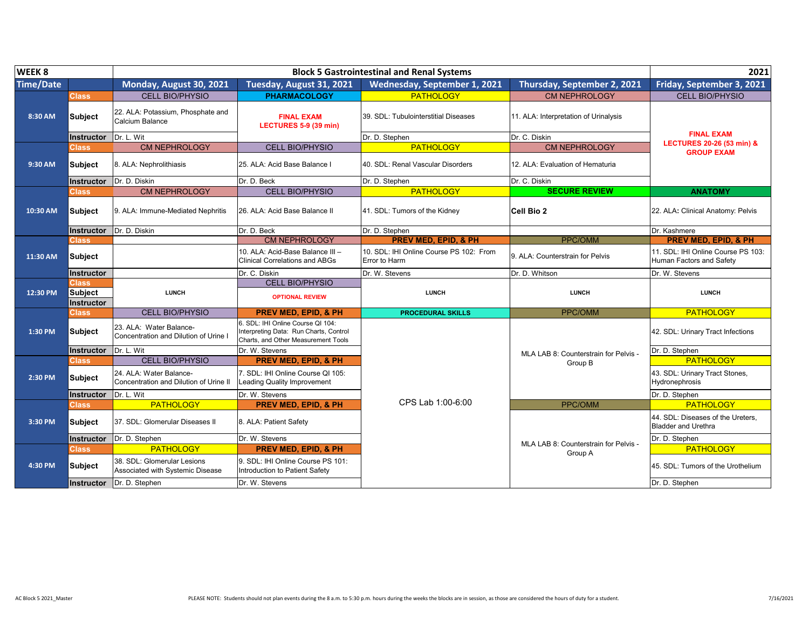| WEEK 8           |                   |                                                                   | 2021                                                                                                               |                                                          |                                       |                                                                 |
|------------------|-------------------|-------------------------------------------------------------------|--------------------------------------------------------------------------------------------------------------------|----------------------------------------------------------|---------------------------------------|-----------------------------------------------------------------|
| <b>Time/Date</b> |                   | Monday, August 30, 2021                                           | Tuesday, August 31, 2021                                                                                           | Wednesday, September 1, 2021                             | <b>Thursday, September 2, 2021</b>    | Friday, September 3, 2021                                       |
|                  | Class             | <b>CELL BIO/PHYSIO</b>                                            | <b>PHARMACOLOGY</b>                                                                                                | <b>PATHOLOGY</b>                                         | <b>CM NEPHROLOGY</b>                  | <b>CELL BIO/PHYSIO</b>                                          |
| 8:30 AM          | <b>Subject</b>    | 22. ALA: Potassium, Phosphate and<br>Calcium Balance              | <b>FINAL EXAM</b><br>LECTURES 5-9 (39 min)                                                                         | 39. SDL: Tubulointerstitial Diseases                     | 11. ALA: Interpretation of Urinalysis |                                                                 |
|                  | Instructor        | Dr. L. Wit                                                        |                                                                                                                    | Dr. D. Stephen                                           | Dr. C. Diskin                         | <b>FINAL EXAM</b><br><b>LECTURES 20-26 (53 min) &amp;</b>       |
|                  | <b>Class</b>      | <b>CM NEPHROLOGY</b>                                              | <b>CELL BIO/PHYSIO</b>                                                                                             | <b>PATHOLOGY</b>                                         | <b>CM NEPHROLOGY</b>                  | <b>GROUP EXAM</b>                                               |
| 9:30 AM          | <b>Subject</b>    | 8. ALA: Nephrolithiasis                                           | 25. ALA: Acid Base Balance I                                                                                       | 40. SDL: Renal Vascular Disorders                        | 12. ALA: Evaluation of Hematuria      |                                                                 |
|                  |                   | Instructor Dr. D. Diskin                                          | Dr. D. Beck                                                                                                        | Dr. D. Stephen                                           | Dr. C. Diskin                         |                                                                 |
|                  | <b>Class</b>      | <b>CM NEPHROLOGY</b>                                              | <b>CELL BIO/PHYSIO</b>                                                                                             | <b>PATHOLOGY</b>                                         | <b>SECURE REVIEW</b>                  | <b>ANATOMY</b>                                                  |
| 10:30 AM         | <b>Subject</b>    | 9. ALA: Immune-Mediated Nephritis                                 | 26. ALA: Acid Base Balance II                                                                                      | 41. SDL: Tumors of the Kidney                            | Cell Bio 2                            | 22. ALA: Clinical Anatomy: Pelvis                               |
|                  | Instructor        | Dr. D. Diskin                                                     | Dr. D. Beck                                                                                                        | Dr. D. Stephen                                           |                                       | Dr. Kashmere                                                    |
|                  | Class             |                                                                   | <b>CM NEPHROLOGY</b>                                                                                               | <b>PREV MED, EPID, &amp; PH</b>                          | <b>PPC/OMM</b>                        | <b>PREV MED. EPID. &amp; PH</b>                                 |
| 11:30 AM         | Subject           |                                                                   | 10. ALA: Acid-Base Balance III –<br><b>Clinical Correlations and ABGs</b>                                          | 10. SDL: IHI Online Course PS 102: From<br>Error to Harm | 9. ALA: Counterstrain for Pelvis      | 11. SDL: IHI Online Course PS 103:<br>Human Factors and Safety  |
|                  | Instructor        |                                                                   | Dr. C. Diskin                                                                                                      | Dr. W. Stevens                                           | Dr. D. Whitson                        | Dr. W. Stevens                                                  |
|                  | Class             |                                                                   | <b>CELL BIO/PHYSIO</b>                                                                                             |                                                          |                                       |                                                                 |
| 12:30 PM         | <b>Subject</b>    | <b>LUNCH</b>                                                      | <b>OPTIONAL REVIEW</b>                                                                                             | <b>LUNCH</b>                                             | <b>LUNCH</b>                          | <b>LUNCH</b>                                                    |
|                  | Instructor        |                                                                   |                                                                                                                    |                                                          |                                       |                                                                 |
|                  | Class             | <b>CELL BIO/PHYSIO</b>                                            | <b>PREV MED, EPID, &amp; PH</b>                                                                                    | <b>PROCEDURAL SKILLS</b>                                 | PPC/OMM                               | <b>PATHOLOGY</b>                                                |
| 1:30 PM          | <b>Subject</b>    | 23. ALA: Water Balance-<br>Concentration and Dilution of Urine I  | 6. SDL: IHI Online Course OI 104:<br>Interpreting Data: Run Charts, Control<br>Charts, and Other Measurement Tools |                                                          |                                       | 42. SDL: Urinary Tract Infections                               |
|                  | <b>Instructor</b> | Dr. L. Wit                                                        | Dr. W. Stevens                                                                                                     |                                                          | MLA LAB 8: Counterstrain for Pelvis - | Dr. D. Stephen                                                  |
|                  | Class             | <b>CELL BIO/PHYSIO</b>                                            | <b>PREV MED, EPID, &amp; PH</b>                                                                                    |                                                          | Group B                               | <b>PATHOLOGY</b>                                                |
| 2:30 PM          | <b>Subject</b>    | 24. ALA: Water Balance-<br>Concentration and Dilution of Urine II | 7. SDL: IHI Online Course QI 105:<br><b>Leading Quality Improvement</b>                                            |                                                          |                                       | 43. SDL: Urinary Tract Stones,<br>Hydronephrosis                |
|                  | <b>Instructor</b> | Dr. L. Wit                                                        | Dr. W. Stevens                                                                                                     |                                                          |                                       | Dr. D. Stephen                                                  |
|                  | Class             | <b>PATHOLOGY</b>                                                  | <b>PREV MED, EPID, &amp; PH</b>                                                                                    | CPS Lab 1:00-6:00                                        | PPC/OMM                               | <b>PATHOLOGY</b>                                                |
| 3:30 PM          | <b>Subject</b>    | 37. SDL: Glomerular Diseases II                                   | 8. ALA: Patient Safety                                                                                             |                                                          |                                       | 44. SDL: Diseases of the Ureters,<br><b>Bladder and Urethra</b> |
|                  | Instructor        | Dr. D. Stephen                                                    | Dr. W. Stevens                                                                                                     |                                                          | MLA LAB 8: Counterstrain for Pelvis - | Dr. D. Stephen                                                  |
|                  | Class             | <b>PATHOLOGY</b>                                                  | <b>PREV MED, EPID, &amp; PH</b>                                                                                    |                                                          | Group A                               | <b>PATHOLOGY</b>                                                |
| 4:30 PM          | <b>Subject</b>    | 38. SDL: Glomerular Lesions<br>Associated with Systemic Disease   | 9. SDL: IHI Online Course PS 101:<br>Introduction to Patient Safety                                                |                                                          |                                       | 45. SDL: Tumors of the Urothelium                               |
|                  |                   | <b>Instructor</b>   Dr. D. Stephen                                | Dr. W. Stevens                                                                                                     |                                                          |                                       | Dr. D. Stephen                                                  |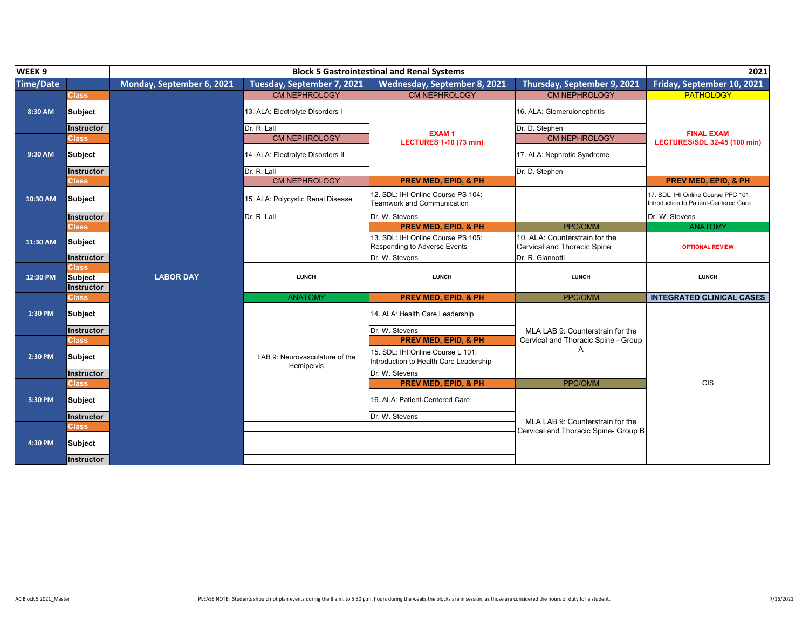| WEEK <sub>9</sub> |                                |                           | 2021                                         |                                                                             |                                                               |                                                                              |
|-------------------|--------------------------------|---------------------------|----------------------------------------------|-----------------------------------------------------------------------------|---------------------------------------------------------------|------------------------------------------------------------------------------|
| <b>Time/Date</b>  |                                | Monday, September 6, 2021 | Tuesday, September 7, 2021                   | Wednesday, September 8, 2021                                                | Thursday, September 9, 2021                                   | Friday, September 10, 2021                                                   |
|                   | Class                          |                           | <b>CM NEPHROLOGY</b>                         | <b>CM NEPHROLOGY</b>                                                        | <b>CM NEPHROLOGY</b>                                          | <b>PATHOLOGY</b>                                                             |
| 8:30 AM           | Subject                        |                           | 13. ALA: Electrolyte Disorders I             |                                                                             | 16. ALA: Glomerulonephritis                                   |                                                                              |
|                   | Instructor                     |                           | Dr. R. Lall                                  | <b>EXAM1</b>                                                                | Dr. D. Stephen                                                | <b>FINAL EXAM</b>                                                            |
|                   | Class,                         |                           | <b>CM NEPHROLOGY</b>                         | <b>LECTURES 1-10 (73 min)</b>                                               | <b>CM NEPHROLOGY</b>                                          | LECTURES/SDL 32-45 (100 min)                                                 |
| 9:30 AM           | Subject                        |                           | 14. ALA: Electrolyte Disorders II            |                                                                             | 17. ALA: Nephrotic Syndrome                                   |                                                                              |
|                   | <b>Instructor</b>              |                           | Dr. R. Lall                                  |                                                                             | Dr. D. Stephen                                                |                                                                              |
|                   | Class                          |                           | <b>CM NEPHROLOGY</b>                         | <b>PREV MED, EPID, &amp; PH</b>                                             |                                                               | <b>PREV MED, EPID, &amp; PH</b>                                              |
| 10:30 AM          | Subject                        |                           | 15. ALA: Polycystic Renal Disease            | 12. SDL: IHI Online Course PS 104:<br><b>Teamwork and Communication</b>     |                                                               | 17. SDL: IHI Online Course PFC 101:<br>Introduction to Patient-Centered Care |
|                   | <b>Instructor</b>              |                           | Dr. R. Lall                                  | Dr. W. Stevens                                                              |                                                               | Dr. W. Stevens                                                               |
|                   | <b>Class</b>                   |                           |                                              | <b>PREV MED, EPID, &amp; PH</b>                                             | PPC/OMM                                                       | <b>ANATOMY</b>                                                               |
| 11:30 AM          | <b>Subject</b>                 |                           |                                              | 13. SDL: IHI Online Course PS 105:<br>Responding to Adverse Events          | 10. ALA: Counterstrain for the<br>Cervical and Thoracic Spine | <b>OPTIONAL REVIEW</b>                                                       |
|                   | Instructor                     |                           |                                              | Dr. W. Stevens                                                              | Dr. R. Giannotti                                              |                                                                              |
| 12:30 PM          | <b>Class</b><br><b>Subject</b> | <b>LABOR DAY</b>          | <b>LUNCH</b>                                 | <b>LUNCH</b>                                                                | <b>LUNCH</b>                                                  | <b>LUNCH</b>                                                                 |
|                   | Instructor                     |                           |                                              |                                                                             | PPC/OMM                                                       |                                                                              |
|                   | <b>Class</b>                   |                           | <b>ANATOMY</b>                               | <b>PREV MED, EPID, &amp; PH</b>                                             |                                                               | <b>INTEGRATED CLINICAL CASES</b>                                             |
| 1:30 PM           | <b>Subject</b>                 |                           |                                              | 14. ALA: Health Care Leadership                                             |                                                               |                                                                              |
|                   | <b>Instructor</b>              |                           |                                              | Dr. W. Stevens                                                              | MLA LAB 9: Counterstrain for the                              |                                                                              |
|                   | <b>Class</b>                   |                           |                                              | <b>PREV MED, EPID, &amp; PH</b>                                             | Cervical and Thoracic Spine - Group                           |                                                                              |
| 2:30 PM           | Subject                        |                           | LAB 9: Neurovasculature of the<br>Hemipelvis | 15. SDL: IHI Online Course L 101:<br>Introduction to Health Care Leadership | A                                                             |                                                                              |
|                   | <b>Instructor</b>              |                           |                                              | Dr. W. Stevens                                                              |                                                               |                                                                              |
|                   | <b>Class</b>                   |                           |                                              | <b>PREV MED, EPID, &amp; PH</b>                                             | PPC/OMM                                                       | <b>CIS</b>                                                                   |
| 3:30 PM           | Subject                        |                           |                                              | 16. ALA: Patient-Centered Care                                              |                                                               |                                                                              |
|                   | <b>Instructor</b>              |                           |                                              | Dr. W. Stevens                                                              | MLA LAB 9: Counterstrain for the                              |                                                                              |
|                   | <b>Class</b>                   |                           |                                              |                                                                             | Cervical and Thoracic Spine- Group B                          |                                                                              |
| 4:30 PM           | Subject                        |                           |                                              |                                                                             |                                                               |                                                                              |
|                   | Instructor                     |                           |                                              |                                                                             |                                                               |                                                                              |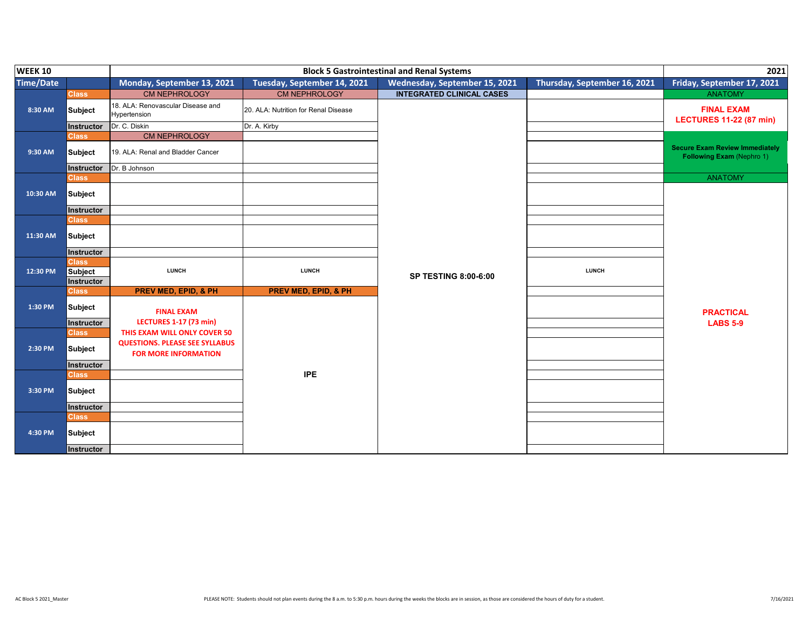| <b>WEEK 10</b>   |                   |                                                                      | 2021                                 |                                  |                              |                                                                           |
|------------------|-------------------|----------------------------------------------------------------------|--------------------------------------|----------------------------------|------------------------------|---------------------------------------------------------------------------|
| <b>Time/Date</b> |                   | Monday, September 13, 2021                                           | Tuesday, September 14, 2021          | Wednesday, September 15, 2021    | Thursday, September 16, 2021 | Friday, September 17, 2021                                                |
|                  | <b>Class</b>      | <b>CM NEPHROLOGY</b>                                                 | <b>CM NEPHROLOGY</b>                 | <b>INTEGRATED CLINICAL CASES</b> |                              | <b>ANATOMY</b>                                                            |
| 8:30 AM          | <b>Subject</b>    | 18. ALA: Renovascular Disease and<br>Hypertension                    | 20. ALA: Nutrition for Renal Disease |                                  |                              | <b>FINAL EXAM</b><br><b>LECTURES 11-22 (87 min)</b>                       |
|                  | Instructor        | Dr. C. Diskin                                                        | Dr. A. Kirby                         |                                  |                              |                                                                           |
|                  | <b>Class</b>      | <b>CM NEPHROLOGY</b>                                                 |                                      |                                  |                              |                                                                           |
| 9:30 AM          | <b>Subject</b>    | 19. ALA: Renal and Bladder Cancer                                    |                                      |                                  |                              | <b>Secure Exam Review Immediately</b><br><b>Following Exam (Nephro 1)</b> |
|                  | Instructor        | Dr. B Johnson                                                        |                                      |                                  |                              |                                                                           |
|                  | <b>Class</b>      |                                                                      |                                      |                                  |                              | <b>ANATOMY</b>                                                            |
| 10:30 AM         | <b>Subject</b>    |                                                                      |                                      |                                  |                              |                                                                           |
|                  | <b>Instructor</b> |                                                                      |                                      |                                  |                              |                                                                           |
|                  | <b>Class</b>      |                                                                      |                                      |                                  |                              |                                                                           |
| 11:30 AM         | <b>Subject</b>    |                                                                      |                                      |                                  |                              |                                                                           |
|                  | Instructor        |                                                                      |                                      |                                  |                              |                                                                           |
|                  | <b>Class</b>      |                                                                      |                                      |                                  |                              |                                                                           |
| 12:30 PM         | <b>Subject</b>    | <b>LUNCH</b>                                                         | <b>LUNCH</b>                         | <b>SP TESTING 8:00-6:00</b>      | <b>LUNCH</b>                 |                                                                           |
|                  | <b>Instructor</b> |                                                                      |                                      |                                  |                              |                                                                           |
|                  | <b>Class</b>      | <b>PREV MED, EPID, &amp; PH</b>                                      | <b>PREV MED, EPID, &amp; PH</b>      |                                  |                              |                                                                           |
| 1:30 PM          | <b>Subject</b>    | <b>FINAL EXAM</b>                                                    |                                      |                                  |                              | <b>PRACTICAL</b>                                                          |
|                  | Instructor        | <b>LECTURES 1-17 (73 min)</b>                                        |                                      |                                  |                              | <b>LABS 5-9</b>                                                           |
|                  | <b>Class</b>      | THIS EXAM WILL ONLY COVER 50                                         |                                      |                                  |                              |                                                                           |
| 2:30 PM          | <b>Subject</b>    | <b>QUESTIONS. PLEASE SEE SYLLABUS</b><br><b>FOR MORE INFORMATION</b> |                                      |                                  |                              |                                                                           |
|                  | <b>Instructor</b> |                                                                      |                                      |                                  |                              |                                                                           |
|                  | <b>Class</b>      |                                                                      | <b>IPE</b>                           |                                  |                              |                                                                           |
| 3:30 PM          | <b>Subject</b>    |                                                                      |                                      |                                  |                              |                                                                           |
|                  | Instructor        |                                                                      |                                      |                                  |                              |                                                                           |
|                  | <b>Class</b>      |                                                                      |                                      |                                  |                              |                                                                           |
| 4:30 PM          | <b>Subject</b>    |                                                                      |                                      |                                  |                              |                                                                           |
|                  | Instructor        |                                                                      |                                      |                                  |                              |                                                                           |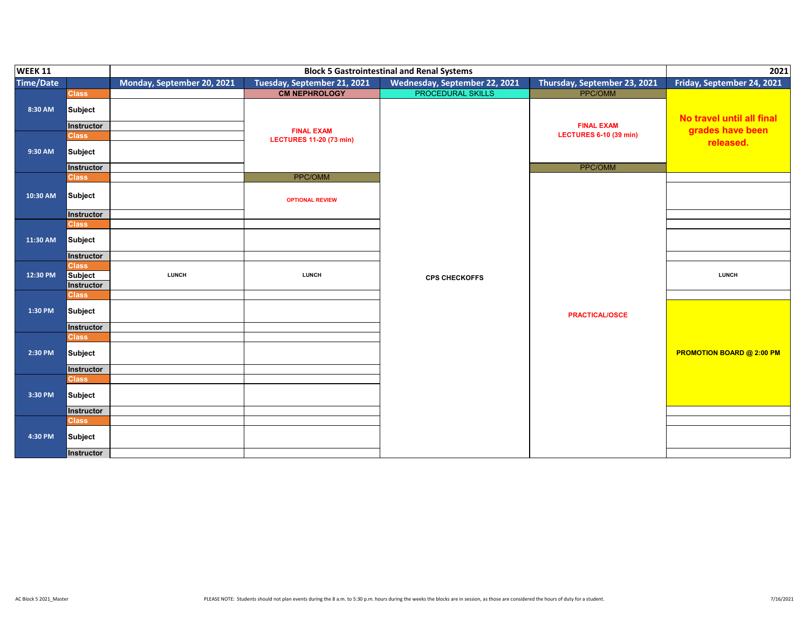| <b>WEEK 11</b>   |                       |                            | <b>Block 5 Gastrointestinal and Renal Systems</b>   | 2021                          |                               |                                  |
|------------------|-----------------------|----------------------------|-----------------------------------------------------|-------------------------------|-------------------------------|----------------------------------|
| <b>Time/Date</b> |                       | Monday, September 20, 2021 | Tuesday, September 21, 2021                         | Wednesday, September 22, 2021 | Thursday, September 23, 2021  | Friday, September 24, 2021       |
|                  | <b>Class</b>          |                            | <b>CM NEPHROLOGY</b>                                | <b>PROCEDURAL SKILLS</b>      | <b>PPC/OMM</b>                |                                  |
| 8:30 AM          | Subject<br>Instructor |                            |                                                     |                               | <b>FINAL EXAM</b>             | No travel until all final        |
|                  | <b>Class</b>          |                            | <b>FINAL EXAM</b><br><b>LECTURES 11-20 (73 min)</b> |                               | <b>LECTURES 6-10 (39 min)</b> | grades have been                 |
| 9:30 AM          | Subject               |                            |                                                     |                               |                               | released.                        |
|                  | Instructor            |                            |                                                     |                               | PPC/OMM                       |                                  |
|                  | <b>Class</b>          |                            | PPC/OMM                                             |                               |                               |                                  |
| 10:30 AM         | Subject               |                            | <b>OPTIONAL REVIEW</b>                              |                               |                               |                                  |
|                  | Instructor            |                            |                                                     |                               |                               |                                  |
|                  | <b>Class</b>          |                            |                                                     |                               |                               |                                  |
| 11:30 AM         | Subject               |                            |                                                     |                               |                               |                                  |
|                  | Instructor            |                            |                                                     |                               |                               |                                  |
|                  | <b>Class</b>          | <b>LUNCH</b>               | <b>LUNCH</b>                                        |                               |                               |                                  |
| 12:30 PM         | Subject<br>Instructor |                            |                                                     | <b>CPS CHECKOFFS</b>          |                               | <b>LUNCH</b>                     |
|                  | <b>Class</b>          |                            |                                                     |                               |                               |                                  |
| 1:30 PM          | Subject               |                            |                                                     |                               | <b>PRACTICAL/OSCE</b>         |                                  |
|                  | <b>Instructor</b>     |                            |                                                     |                               |                               |                                  |
|                  | <b>Class</b>          |                            |                                                     |                               |                               |                                  |
| 2:30 PM          | Subject               |                            |                                                     |                               |                               | <b>PROMOTION BOARD @ 2:00 PM</b> |
|                  | <b>Instructor</b>     |                            |                                                     |                               |                               |                                  |
|                  | <b>Class</b>          |                            |                                                     |                               |                               |                                  |
| 3:30 PM          | Subject               |                            |                                                     |                               |                               |                                  |
|                  | Instructor            |                            |                                                     |                               |                               |                                  |
|                  | <b>Class</b>          |                            |                                                     |                               |                               |                                  |
| 4:30 PM          | Subject               |                            |                                                     |                               |                               |                                  |
|                  | Instructor            |                            |                                                     |                               |                               |                                  |